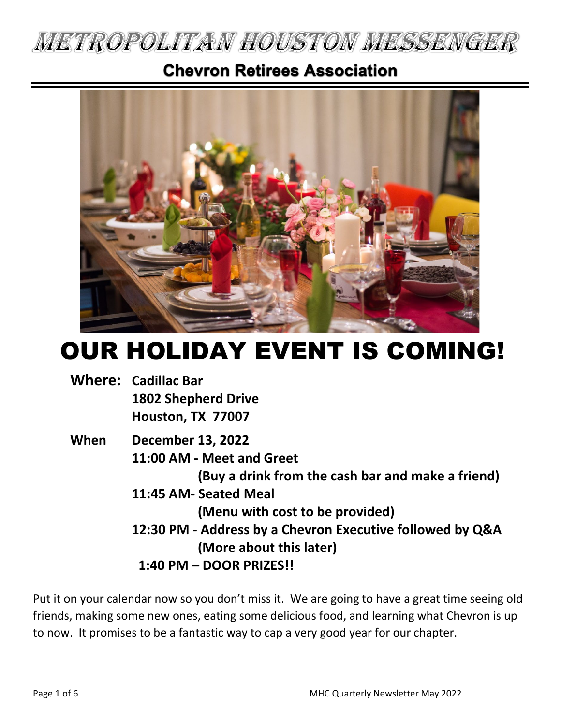

# **Chevron Retirees Association**



# OUR HOLIDAY EVENT IS COMING!

|  | <b>Where: Cadillac Bar</b> |
|--|----------------------------|
|  | <b>1802 Shepherd Drive</b> |
|  | Houston, TX 77007          |

### **When December 13, 2022 11:00 AM - Meet and Greet (Buy a drink from the cash bar and make a friend) 11:45 AM- Seated Meal (Menu with cost to be provided) 12:30 PM - Address by a Chevron Executive followed by Q&A (More about this later) 1:40 PM – DOOR PRIZES!!**

Put it on your calendar now so you don't miss it. We are going to have a great time seeing old friends, making some new ones, eating some delicious food, and learning what Chevron is up to now. It promises to be a fantastic way to cap a very good year for our chapter.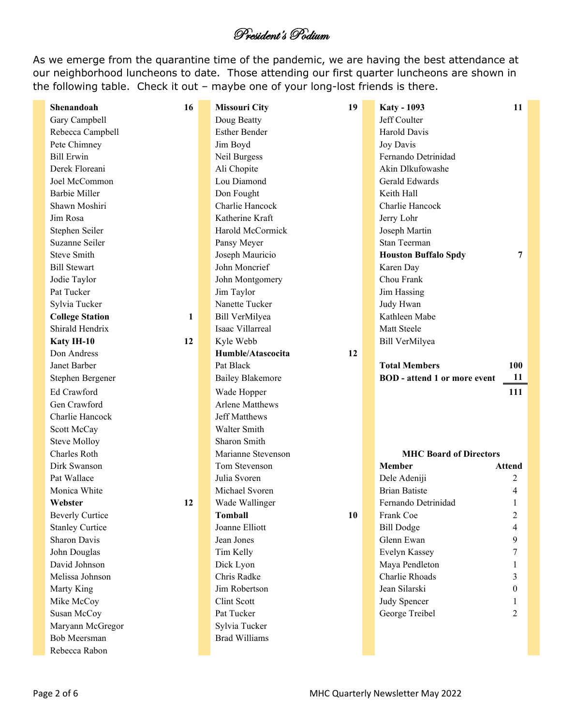### President's Podium

As we emerge from the quarantine time of the pandemic, we are having the best attendance at our neighborhood luncheons to date. Those attending our first quarter luncheons are shown in the following table. Check it out – maybe one of your long-lost friends is there.

| Shenandoah                              | 16           | <b>Missouri City</b>     | 19        | <b>Katy - 1093</b>                  | 11             |  |
|-----------------------------------------|--------------|--------------------------|-----------|-------------------------------------|----------------|--|
| Gary Campbell                           |              | Doug Beatty              |           | Jeff Coulter                        |                |  |
| Rebecca Campbell                        |              | <b>Esther Bender</b>     |           | Harold Davis                        |                |  |
| Pete Chimney                            |              | Jim Boyd                 | Joy Davis |                                     |                |  |
| <b>Bill Erwin</b>                       |              | Neil Burgess             |           | Fernando Detrinidad                 |                |  |
| Derek Floreani                          |              | Ali Chopite              |           | Akin Dlkufowashe                    |                |  |
| Joel McCommon                           |              | Lou Diamond              |           | Gerald Edwards                      |                |  |
| <b>Barbie Miller</b>                    |              | Don Fought               |           | Keith Hall                          |                |  |
| Shawn Moshiri                           |              | Charlie Hancock          |           | Charlie Hancock                     |                |  |
| Jim Rosa                                |              | Katherine Kraft          |           | Jerry Lohr                          |                |  |
| Stephen Seiler                          |              | Harold McCormick         |           | Joseph Martin                       |                |  |
| Suzanne Seiler                          |              | Pansy Meyer              |           | <b>Stan Teerman</b>                 |                |  |
| <b>Steve Smith</b>                      |              | Joseph Mauricio          |           | <b>Houston Buffalo Spdy</b>         | $\overline{7}$ |  |
| <b>Bill Stewart</b>                     |              | John Moncrief            |           | Karen Day                           |                |  |
| Jodie Taylor                            |              | John Montgomery          |           | Chou Frank                          |                |  |
| Pat Tucker                              |              | Jim Taylor               |           | Jim Hassing                         |                |  |
| Sylvia Tucker                           |              | Nanette Tucker           |           | Judy Hwan                           |                |  |
| <b>College Station</b>                  | $\mathbf{1}$ | Bill VerMilyea           |           | Kathleen Mabe                       |                |  |
| Shirald Hendrix                         |              | Isaac Villarreal         |           | Matt Steele                         |                |  |
| Katy IH-10                              | 12           | Kyle Webb                |           | Bill VerMilyea                      |                |  |
| Don Andress                             |              | Humble/Atascocita        | 12        |                                     |                |  |
| Janet Barber                            |              | Pat Black                |           | <b>Total Members</b>                | <b>100</b>     |  |
| Stephen Bergener                        |              | <b>Bailey Blakemore</b>  |           | <b>BOD</b> - attend 1 or more event | 11             |  |
| Ed Crawford                             |              | Wade Hopper              |           |                                     | 111            |  |
| Gen Crawford                            |              | <b>Arlene Matthews</b>   |           |                                     |                |  |
| Charlie Hancock                         |              | <b>Jeff Matthews</b>     |           |                                     |                |  |
| Scott McCay                             |              | Walter Smith             |           |                                     |                |  |
| <b>Steve Molloy</b>                     |              | Sharon Smith             |           |                                     |                |  |
| Charles Roth                            |              | Marianne Stevenson       |           | <b>MHC Board of Directors</b>       |                |  |
| Dirk Swanson                            |              | Tom Stevenson            |           | <b>Member</b>                       | Attend         |  |
| Pat Wallace                             |              | Julia Svoren             |           | Dele Adeniji                        | 2              |  |
| Monica White                            |              | Michael Svoren           |           | <b>Brian Batiste</b>                | 4              |  |
| Webster                                 | 12           | Wade Wallinger           |           | Fernando Detrinidad                 |                |  |
| <b>Beverly Curtice</b>                  |              | <b>Tomball</b>           | 10        |                                     | 2              |  |
| <b>Stanley Curtice</b>                  |              |                          |           | Frank Coe                           |                |  |
|                                         |              | Joanne Elliott           |           |                                     | 4              |  |
| Sharon Davis                            |              | Jean Jones               |           | <b>Bill Dodge</b><br>Glenn Ewan     | 9              |  |
| John Douglas                            |              | Tim Kelly                |           | Evelyn Kassey                       | 7              |  |
| David Johnson                           |              |                          |           |                                     |                |  |
| Melissa Johnson                         |              | Dick Lyon<br>Chris Radke |           | Maya Pendleton<br>Charlie Rhoads    | 3              |  |
| Marty King                              |              | Jim Robertson            |           | Jean Silarski                       | $\theta$       |  |
| Mike McCoy                              |              | Clint Scott              |           | Judy Spencer                        |                |  |
| Susan McCoy                             |              | Pat Tucker               |           | George Treibel                      | 2              |  |
|                                         |              | Sylvia Tucker            |           |                                     |                |  |
| Maryann McGregor<br><b>Bob Meersman</b> |              | <b>Brad Williams</b>     |           |                                     |                |  |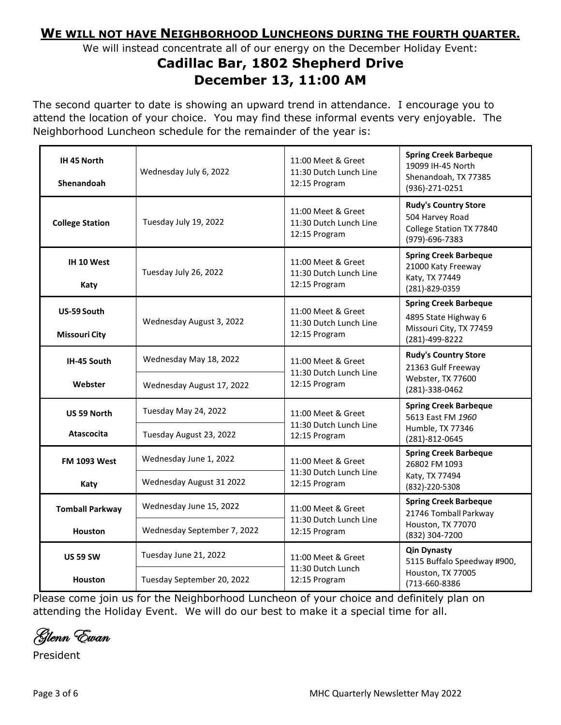### **WE WILL NOT HAVE NEIGHBORHOOD LUNCHEONS DURING THE FOURTH QUARTER.**

We will instead concentrate all of our energy on the December Holiday Event:

### **Cadillac Bar, 1802 Shepherd Drive December 13, 11:00 AM**

The second quarter to date is showing an upward trend in attendance. I encourage you to attend the location of your choice. You may find these informal events very enjoyable. The Neighborhood Luncheon schedule for the remainder of the year is:

| IH 45 North<br>Shenandoah                | Wednesday July 6, 2022                                 | 11:00 Meet & Greet<br>11:30 Dutch Lunch Line<br>12:15 Program | <b>Spring Creek Barbeque</b><br>19099 IH-45 North<br>Shenandoah, TX 77385<br>(936)-271-0251       |
|------------------------------------------|--------------------------------------------------------|---------------------------------------------------------------|---------------------------------------------------------------------------------------------------|
| <b>College Station</b>                   | Tuesday July 19, 2022                                  | 11:00 Meet & Greet<br>11:30 Dutch Lunch Line<br>12:15 Program | <b>Rudy's Country Store</b><br>504 Harvey Road<br>College Station TX 77840<br>(979)-696-7383      |
| IH 10 West<br>Katy                       | Tuesday July 26, 2022                                  | 11:00 Meet & Greet<br>11:30 Dutch Lunch Line<br>12:15 Program | <b>Spring Creek Barbeque</b><br>21000 Katy Freeway<br>Katy, TX 77449<br>(281)-829-0359            |
| US-59 South<br><b>Missouri City</b>      | Wednesday August 3, 2022                               | 11:00 Meet & Greet<br>11:30 Dutch Lunch Line<br>12:15 Program | <b>Spring Creek Barbeque</b><br>4895 State Highway 6<br>Missouri City, TX 77459<br>(281)-499-8222 |
| IH-45 South<br>Webster                   | Wednesday May 18, 2022<br>Wednesday August 17, 2022    | 11:00 Meet & Greet<br>11:30 Dutch Lunch Line<br>12:15 Program | <b>Rudy's Country Store</b><br>21363 Gulf Freeway<br>Webster, TX 77600<br>(281)-338-0462          |
| <b>US 59 North</b><br><b>Atascocita</b>  | Tuesday May 24, 2022<br>Tuesday August 23, 2022        | 11:00 Meet & Greet<br>11:30 Dutch Lunch Line<br>12:15 Program | <b>Spring Creek Barbeque</b><br>5613 East FM 1960<br>Humble, TX 77346<br>(281)-812-0645           |
| <b>FM 1093 West</b><br>Katy              | Wednesday June 1, 2022<br>Wednesday August 31 2022     | 11:00 Meet & Greet<br>11:30 Dutch Lunch Line<br>12:15 Program | <b>Spring Creek Barbeque</b><br>26802 FM 1093<br>Katy, TX 77494<br>(832)-220-5308                 |
| <b>Tomball Parkway</b><br><b>Houston</b> | Wednesday June 15, 2022<br>Wednesday September 7, 2022 | 11:00 Meet & Greet<br>11:30 Dutch Lunch Line<br>12:15 Program | <b>Spring Creek Barbeque</b><br>21746 Tomball Parkway<br>Houston, TX 77070<br>(832) 304-7200      |
| <b>US 59 SW</b><br><b>Houston</b>        | Tuesday June 21, 2022<br>Tuesday September 20, 2022    | 11:00 Meet & Greet<br>11:30 Dutch Lunch<br>12:15 Program      | <b>Qin Dynasty</b><br>5115 Buffalo Speedway #900,<br>Houston, TX 77005<br>(713-660-8386           |

Please come join us for the Neighborhood Luncheon of your choice and definitely plan on attending the Holiday Event. We will do our best to make it a special time for all.

Glenn Ewan

President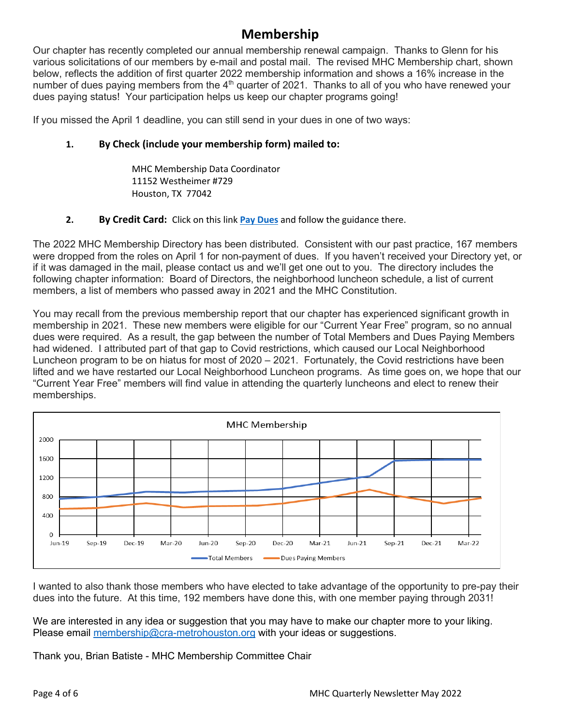### **Membership**

Our chapter has recently completed our annual membership renewal campaign. Thanks to Glenn for his various solicitations of our members by e-mail and postal mail. The revised MHC Membership chart, shown below, reflects the addition of first quarter 2022 membership information and shows a 16% increase in the number of dues paying members from the  $4<sup>th</sup>$  quarter of 2021. Thanks to all of you who have renewed your dues paying status! Your participation helps us keep our chapter programs going!

If you missed the April 1 deadline, you can still send in your dues in one of two ways:

#### **1. By Check (include your membership form) mailed to:**

MHC Membership Data Coordinator 11152 Westheimer #729 Houston, TX 77042

#### **2. By Credit Card:** Click on this link **[Pay Dues](about:blank)** and follow the guidance there.

The 2022 MHC Membership Directory has been distributed. Consistent with our past practice, 167 members were dropped from the roles on April 1 for non-payment of dues. If you haven't received your Directory yet, or if it was damaged in the mail, please contact us and we'll get one out to you. The directory includes the following chapter information: Board of Directors, the neighborhood luncheon schedule, a list of current members, a list of members who passed away in 2021 and the MHC Constitution.

You may recall from the previous membership report that our chapter has experienced significant growth in membership in 2021. These new members were eligible for our "Current Year Free" program, so no annual dues were required. As a result, the gap between the number of Total Members and Dues Paying Members had widened. I attributed part of that gap to Covid restrictions, which caused our Local Neighborhood Luncheon program to be on hiatus for most of 2020 – 2021. Fortunately, the Covid restrictions have been lifted and we have restarted our Local Neighborhood Luncheon programs. As time goes on, we hope that our "Current Year Free" members will find value in attending the quarterly luncheons and elect to renew their memberships.



I wanted to also thank those members who have elected to take advantage of the opportunity to pre-pay their dues into the future. At this time, 192 members have done this, with one member paying through 2031!

We are interested in any idea or suggestion that you may have to make our chapter more to your liking. Please email [membership@cra-metrohouston.org](about:blank) with your ideas or suggestions.

Thank you, Brian Batiste - MHC Membership Committee Chair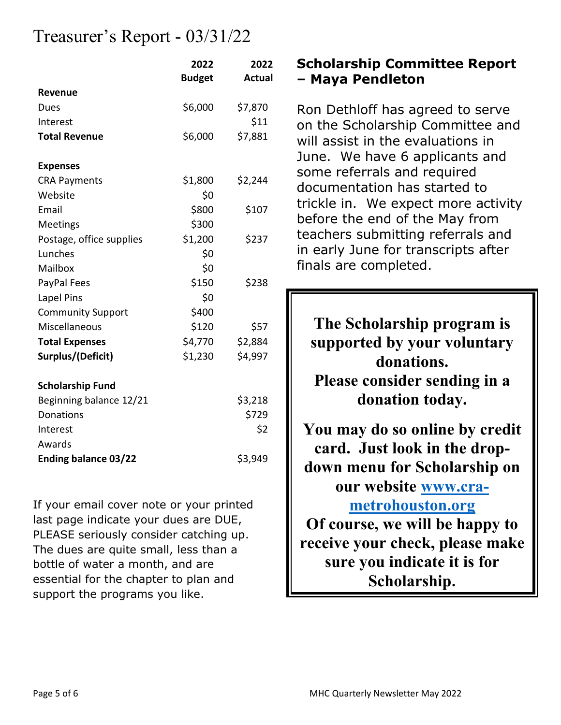# Treasurer's Report - 03/31/22

|                             | 2022<br><b>Budget</b> | 2022<br><b>Actual</b> |
|-----------------------------|-----------------------|-----------------------|
| Revenue                     |                       |                       |
| Dues                        | \$6,000               | \$7,870               |
| Interest                    |                       | \$11                  |
| <b>Total Revenue</b>        | \$6,000               | \$7,881               |
| <b>Expenses</b>             |                       |                       |
| <b>CRA Payments</b>         | \$1,800               | \$2,244               |
| Website                     | \$0                   |                       |
| Email                       | \$800                 | \$107                 |
| <b>Meetings</b>             | \$300                 |                       |
| Postage, office supplies    | \$1,200               | \$237                 |
| Lunches                     | \$0                   |                       |
| Mailbox                     | \$0                   |                       |
| PayPal Fees                 | \$150                 | \$238                 |
| Lapel Pins                  | \$0                   |                       |
| <b>Community Support</b>    | \$400                 |                       |
| Miscellaneous               | \$120                 | \$57                  |
| <b>Total Expenses</b>       | \$4,770               | \$2,884               |
| Surplus/(Deficit)           | \$1,230               | \$4,997               |
| <b>Scholarship Fund</b>     |                       |                       |
| Beginning balance 12/21     |                       | \$3,218               |
| Donations                   |                       | \$729                 |
| Interest                    |                       | \$2                   |
| Awards                      |                       |                       |
| <b>Ending balance 03/22</b> |                       | \$3,949               |

If your email cover note or your printed last page indicate your dues are DUE, PLEASE seriously consider catching up. The dues are quite small, less than a bottle of water a month, and are essential for the chapter to plan and support the programs you like.

### **Scholarship Committee Report – Maya Pendleton**

Ron Dethloff has agreed to serve on the Scholarship Committee and will assist in the evaluations in June. We have 6 applicants and some referrals and required documentation has started to trickle in. We expect more activity before the end of the May from teachers submitting referrals and in early June for transcripts after finals are completed.

**The Scholarship program is supported by your voluntary donations. Please consider sending in a donation today. You may do so online by credit card. Just look in the dropdown menu for Scholarship on our website [www.cra](about:blank)[metrohouston.org](about:blank) Of course, we will be happy to receive your check, please make sure you indicate it is for Scholarship.**